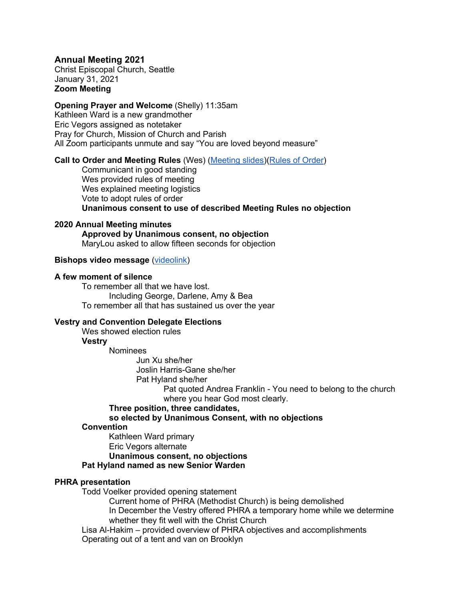## **Annual Meeting 2021**

Christ Episcopal Church, Seattle January 31, 2021 **Zoom Meeting**

### **Opening Prayer and Welcome** (Shelly) 11:35am

Kathleen Ward is a new grandmother Eric Vegors assigned as notetaker Pray for Church, Mission of Church and Parish All Zoom participants unmute and say "You are loved beyond measure"

#### **Call to Order and Meeting Rules** (Wes) (Meeting slides)(Rules of Order)

Communicant in good standing Wes provided rules of meeting Wes explained meeting logistics Vote to adopt rules of order **Unanimous consent to use of described Meeting Rules no objection**

## **2020 Annual Meeting minutes**

**Approved by Unanimous consent, no objection** MaryLou asked to allow fifteen seconds for objection

## **Bishops video message** (videolink)

## **A few moment of silence**

To remember all that we have lost. Including George, Darlene, Amy & Bea To remember all that has sustained us over the year

## **Vestry and Convention Delegate Elections**

Wes showed election rules

## **Vestry**

Nominees

Jun Xu she/her Joslin Harris-Gane she/her

Pat Hyland she/her

Pat quoted Andrea Franklin - You need to belong to the church where you hear God most clearly.

## **Three position, three candidates,**

## **so elected by Unanimous Consent, with no objections**

#### **Convention**

Kathleen Ward primary

Eric Vegors alternate

# **Unanimous consent, no objections**

**Pat Hyland named as new Senior Warden**

## **PHRA presentation**

Todd Voelker provided opening statement

Current home of PHRA (Methodist Church) is being demolished In December the Vestry offered PHRA a temporary home while we determine whether they fit well with the Christ Church

Lisa Al-Hakim – provided overview of PHRA objectives and accomplishments Operating out of a tent and van on Brooklyn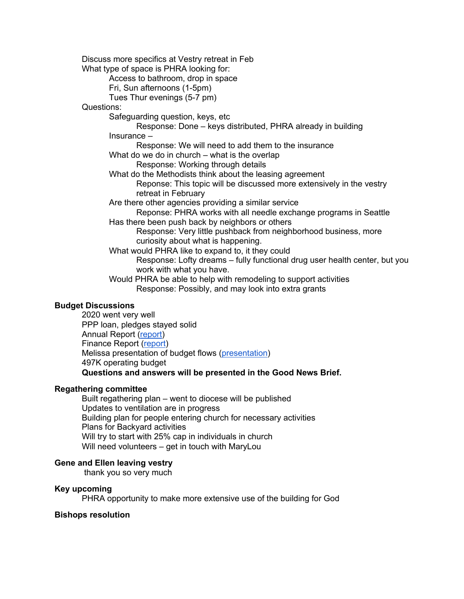Discuss more specifics at Vestry retreat in Feb What type of space is PHRA looking for: Access to bathroom, drop in space Fri, Sun afternoons (1-5pm) Tues Thur evenings (5-7 pm) Questions: Safeguarding question, keys, etc Response: Done – keys distributed, PHRA already in building Insurance – Response: We will need to add them to the insurance What do we do in church – what is the overlap Response: Working through details What do the Methodists think about the leasing agreement Reponse: This topic will be discussed more extensively in the vestry retreat in February Are there other agencies providing a similar service Reponse: PHRA works with all needle exchange programs in Seattle Has there been push back by neighbors or others Response: Very little pushback from neighborhood business, more curiosity about what is happening. What would PHRA like to expand to, it they could Response: Lofty dreams – fully functional drug user health center, but you work with what you have. Would PHRA be able to help with remodeling to support activities Response: Possibly, and may look into extra grants

## **Budget Discussions**

2020 went very well PPP loan, pledges stayed solid Annual Report (report) Finance Report (report) Melissa presentation of budget flows (presentation) 497K operating budget **Questions and answers will be presented in the Good News Brief.**

## **Regathering committee**

Built regathering plan – went to diocese will be published Updates to ventilation are in progress Building plan for people entering church for necessary activities Plans for Backyard activities Will try to start with 25% cap in individuals in church Will need volunteers – get in touch with MaryLou

## **Gene and Ellen leaving vestry**

thank you so very much

## **Key upcoming**

PHRA opportunity to make more extensive use of the building for God

## **Bishops resolution**